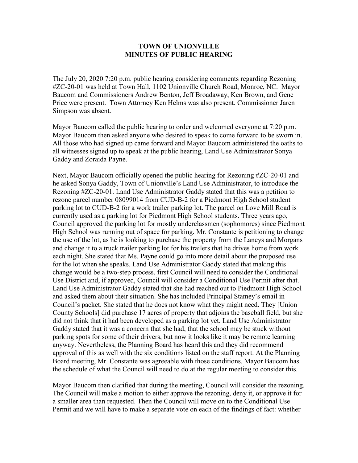## **TOWN OF UNIONVILLE MINUTES OF PUBLIC HEARING**

The July 20, 2020 7:20 p.m. public hearing considering comments regarding Rezoning #ZC-20-01 was held at Town Hall, 1102 Unionville Church Road, Monroe, NC. Mayor Baucom and Commissioners Andrew Benton, Jeff Broadaway, Ken Brown, and Gene Price were present. Town Attorney Ken Helms was also present. Commissioner Jaren Simpson was absent.

Mayor Baucom called the public hearing to order and welcomed everyone at 7:20 p.m. Mayor Baucom then asked anyone who desired to speak to come forward to be sworn in. All those who had signed up came forward and Mayor Baucom administered the oaths to all witnesses signed up to speak at the public hearing, Land Use Administrator Sonya Gaddy and Zoraida Payne.

Next, Mayor Baucom officially opened the public hearing for Rezoning #ZC-20-01 and he asked Sonya Gaddy, Town of Unionville's Land Use Administrator, to introduce the Rezoning #ZC-20-01. Land Use Administrator Gaddy stated that this was a petition to rezone parcel number 08099014 from CUD-B-2 for a Piedmont High School student parking lot to CUD-B-2 for a work trailer parking lot. The parcel on Love Mill Road is currently used as a parking lot for Piedmont High School students. Three years ago, Council approved the parking lot for mostly underclassmen (sophomores) since Piedmont High School was running out of space for parking. Mr. Constante is petitioning to change the use of the lot, as he is looking to purchase the property from the Laneys and Morgans and change it to a truck trailer parking lot for his trailers that he drives home from work each night. She stated that Ms. Payne could go into more detail about the proposed use for the lot when she speaks. Land Use Administrator Gaddy stated that making this change would be a two-step process, first Council will need to consider the Conditional Use District and, if approved, Council will consider a Conditional Use Permit after that. Land Use Administrator Gaddy stated that she had reached out to Piedmont High School and asked them about their situation. She has included Principal Stamey's email in Council's packet. She stated that he does not know what they might need. They [Union County Schools] did purchase 17 acres of property that adjoins the baseball field, but she did not think that it had been developed as a parking lot yet. Land Use Administrator Gaddy stated that it was a concern that she had, that the school may be stuck without parking spots for some of their drivers, but now it looks like it may be remote learning anyway. Nevertheless, the Planning Board has heard this and they did recommend approval of this as well with the six conditions listed on the staff report. At the Planning Board meeting, Mr. Constante was agreeable with those conditions. Mayor Baucom has the schedule of what the Council will need to do at the regular meeting to consider this.

Mayor Baucom then clarified that during the meeting, Council will consider the rezoning. The Council will make a motion to either approve the rezoning, deny it, or approve it for a smaller area than requested. Then the Council will move on to the Conditional Use Permit and we will have to make a separate vote on each of the findings of fact: whether